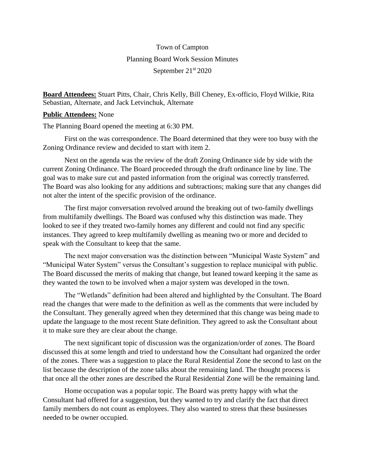## Town of Campton Planning Board Work Session Minutes September 21st 2020

**Board Attendees:** Stuart Pitts, Chair, Chris Kelly, Bill Cheney, Ex-officio, Floyd Wilkie, Rita Sebastian, Alternate, and Jack Letvinchuk, Alternate

## **Public Attendees:** None

The Planning Board opened the meeting at 6:30 PM.

First on the was correspondence. The Board determined that they were too busy with the Zoning Ordinance review and decided to start with item 2.

Next on the agenda was the review of the draft Zoning Ordinance side by side with the current Zoning Ordinance. The Board proceeded through the draft ordinance line by line. The goal was to make sure cut and pasted information from the original was correctly transferred. The Board was also looking for any additions and subtractions; making sure that any changes did not alter the intent of the specific provision of the ordinance.

The first major conversation revolved around the breaking out of two-family dwellings from multifamily dwellings. The Board was confused why this distinction was made. They looked to see if they treated two-family homes any different and could not find any specific instances. They agreed to keep multifamily dwelling as meaning two or more and decided to speak with the Consultant to keep that the same.

The next major conversation was the distinction between "Municipal Waste System" and "Municipal Water System" versus the Consultant's suggestion to replace municipal with public. The Board discussed the merits of making that change, but leaned toward keeping it the same as they wanted the town to be involved when a major system was developed in the town.

The "Wetlands" definition had been altered and highlighted by the Consultant. The Board read the changes that were made to the definition as well as the comments that were included by the Consultant. They generally agreed when they determined that this change was being made to update the language to the most recent State definition. They agreed to ask the Consultant about it to make sure they are clear about the change.

The next significant topic of discussion was the organization/order of zones. The Board discussed this at some length and tried to understand how the Consultant had organized the order of the zones. There was a suggestion to place the Rural Residential Zone the second to last on the list because the description of the zone talks about the remaining land. The thought process is that once all the other zones are described the Rural Residential Zone will be the remaining land.

Home occupation was a popular topic. The Board was pretty happy with what the Consultant had offered for a suggestion, but they wanted to try and clarify the fact that direct family members do not count as employees. They also wanted to stress that these businesses needed to be owner occupied.